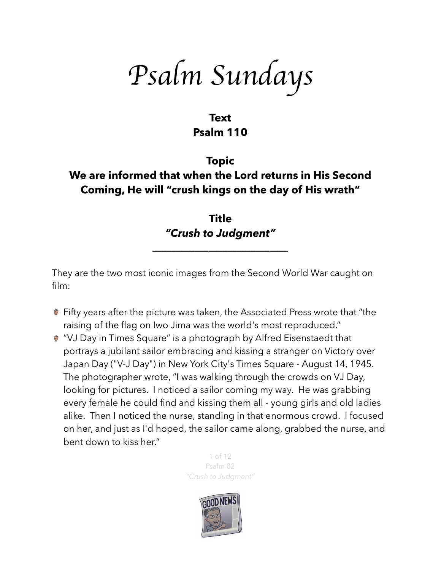*Psalm Sundays*

### **Text Psalm 110**

# **Topic We are informed that when the Lord returns in His Second Coming, He will "crush kings on the day of His wrath"**

**Title**  *"Crush to Judgment"* 

**\_\_\_\_\_\_\_\_\_\_\_\_\_\_\_\_\_\_\_\_\_\_\_\_\_\_\_\_\_** 

They are the two most iconic images from the Second World War caught on film:

- **•** Fifty years after the picture was taken, the Associated Press wrote that "the raising of the flag on Iwo Jima was the world's most [reproduced.](http://web.archive.org/web/20040412081346/http://www.ap.org/pages/about/pulitzer/rosenthal.html)"
- "VJ Day in Times Square" is a photograph by [Alfred Eisenstaedt](https://en.wikipedia.org/wiki/Alfred_Eisenstaedt) that portrays a jubilant sailor embracing and kissing a stranger on [Victory over](https://en.wikipedia.org/wiki/Victory_over_Japan_Day)  [Japan Day](https://en.wikipedia.org/wiki/Victory_over_Japan_Day) ("V-J Day") in [New York City](https://en.wikipedia.org/wiki/New_York_City)'s [Times Square](https://en.wikipedia.org/wiki/Times_Square) - August 14, 1945. The photographer wrote, "I was walking through the crowds on VJ Day, looking for pictures. I noticed a sailor coming my way. He was grabbing every female he could find and kissing them all - young girls and old ladies alike. Then I noticed the nurse, standing in that enormous crowd. I focused on her, and just as I'd hoped, the sailor came along, grabbed the nurse, and bent down to kiss her."

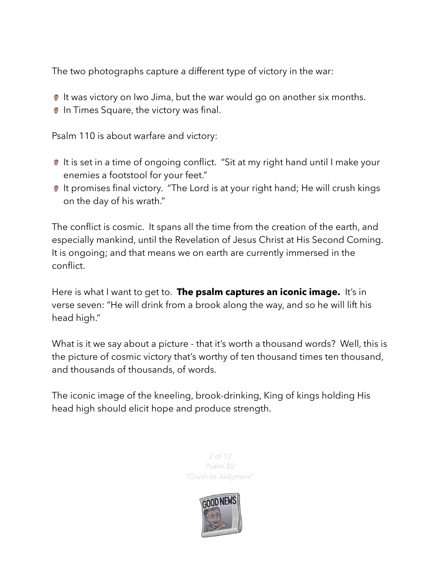The two photographs capture a different type of victory in the war:

- It was victory on Iwo Jima, but the war would go on another six months.
- **In Times Square, the victory was final.**

Psalm 110 is about warfare and victory:

- It is set in a time of ongoing conflict. "Sit at my right hand until I make your enemies a footstool for your feet."
- It promises final victory. "The Lord is at your right hand; He will crush kings on the day of his wrath."

The conflict is cosmic. It spans all the time from the creation of the earth, and especially mankind, until the Revelation of Jesus Christ at His Second Coming. It is ongoing; and that means we on earth are currently immersed in the conflict.

Here is what I want to get to. **The psalm captures an iconic image.** It's in verse seven: "He will drink from a brook along the way, and so he will lift his head high."

What is it we say about a picture - that it's worth a thousand words? Well, this is the picture of cosmic victory that's worthy of ten thousand times ten thousand, and thousands of thousands, of words.

The iconic image of the kneeling, brook-drinking, King of kings holding His head high should elicit hope and produce strength.

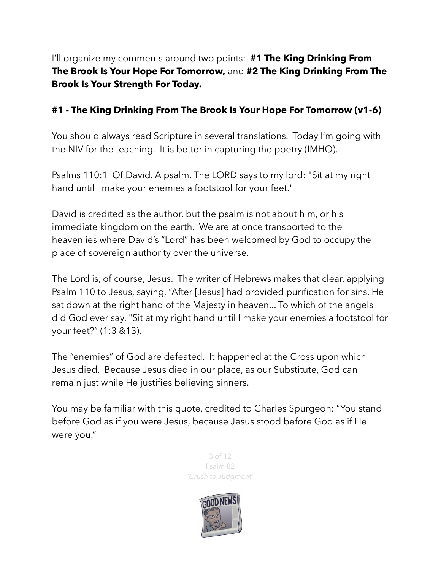I'll organize my comments around two points: **#1 The King Drinking From The Brook Is Your Hope For Tomorrow,** and **#2 The King Drinking From The Brook Is Your Strength For Today.** 

### **#1 - The King Drinking From The Brook Is Your Hope For Tomorrow (v1-6)**

You should always read Scripture in several translations. Today I'm going with the NIV for the teaching. It is better in capturing the poetry (IMHO).

Psalms 110:1 Of David. A psalm. The LORD says to my lord: "Sit at my right hand until I make your enemies a footstool for your feet."

David is credited as the author, but the psalm is not about him, or his immediate kingdom on the earth. We are at once transported to the heavenlies where David's "Lord" has been welcomed by God to occupy the place of sovereign authority over the universe.

The Lord is, of course, Jesus. The writer of Hebrews makes that clear, applying Psalm 110 to Jesus, saying, "After [Jesus] had provided purification for sins, He sat down at the right hand of the Majesty in heaven... To which of the angels did God ever say, "Sit at my right hand until I make your enemies a footstool for your feet?" (1:3 &13).

The "enemies" of God are defeated. It happened at the Cross upon which Jesus died. Because Jesus died in our place, as our Substitute, God can remain just while He justifies believing sinners.

You may be familiar with this quote, credited to Charles Spurgeon: "You stand before God as if you were Jesus, because Jesus stood before God as if He were you."

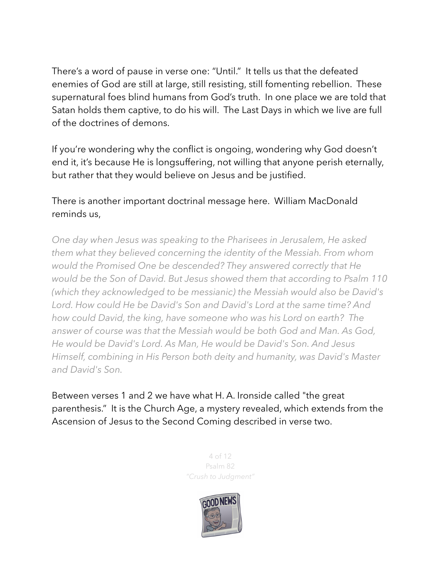There's a word of pause in verse one: "Until." It tells us that the defeated enemies of God are still at large, still resisting, still fomenting rebellion. These supernatural foes blind humans from God's truth. In one place we are told that Satan holds them captive, to do his will. The Last Days in which we live are full of the doctrines of demons.

If you're wondering why the conflict is ongoing, wondering why God doesn't end it, it's because He is longsuffering, not willing that anyone perish eternally, but rather that they would believe on Jesus and be justified.

#### There is another important doctrinal message here. William MacDonald reminds us,

*One day when Jesus was speaking to the Pharisees in Jerusalem, He asked them what they believed concerning the identity of the Messiah. From whom would the Promised One be descended? They answered correctly that He would be the Son of David. But Jesus showed them that according to Psalm 110 (which they acknowledged to be messianic) the Messiah would also be David's Lord. How could He be David's Son and David's Lord at the same time? And how could David, the king, have someone who was his Lord on earth? The answer of course was that the Messiah would be both God and Man. As God, He would be David's Lord. As Man, He would be David's Son. And Jesus Himself, combining in His Person both deity and humanity, was David's Master and David's Son.* 

Between verses 1 and 2 we have what H. A. Ironside called "the great parenthesis." It is the Church Age, a mystery revealed, which extends from the Ascension of Jesus to the Second Coming described in verse two.

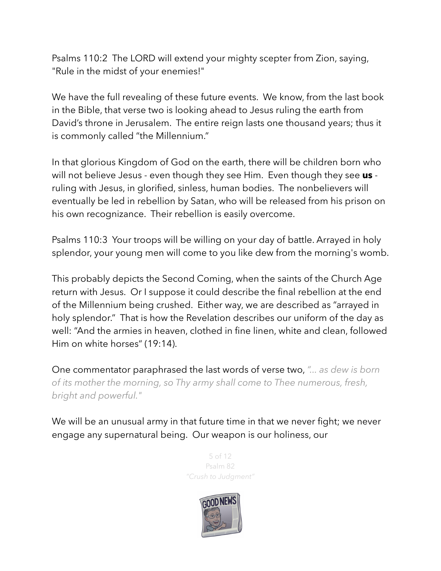Psalms 110:2 The LORD will extend your mighty scepter from Zion, saying, "Rule in the midst of your enemies!"

We have the full revealing of these future events. We know, from the last book in the Bible, that verse two is looking ahead to Jesus ruling the earth from David's throne in Jerusalem. The entire reign lasts one thousand years; thus it is commonly called "the Millennium."

In that glorious Kingdom of God on the earth, there will be children born who will not believe Jesus - even though they see Him. Even though they see **us** ruling with Jesus, in glorified, sinless, human bodies. The nonbelievers will eventually be led in rebellion by Satan, who will be released from his prison on his own recognizance. Their rebellion is easily overcome.

Psalms 110:3 Your troops will be willing on your day of battle. Arrayed in holy splendor, your young men will come to you like dew from the morning's womb.

This probably depicts the Second Coming, when the saints of the Church Age return with Jesus. Or I suppose it could describe the final rebellion at the end of the Millennium being crushed. Either way, we are described as "arrayed in holy splendor." That is how the Revelation describes our uniform of the day as well: "And the armies in heaven, clothed in fine linen, white and clean, followed Him on white horses" (19:14).

One commentator paraphrased the last words of verse two, *"... as dew is born of its mother the morning, so Thy army shall come to Thee numerous, fresh, bright and powerful."* 

We will be an unusual army in that future time in that we never fight; we never engage any supernatural being. Our weapon is our holiness, our

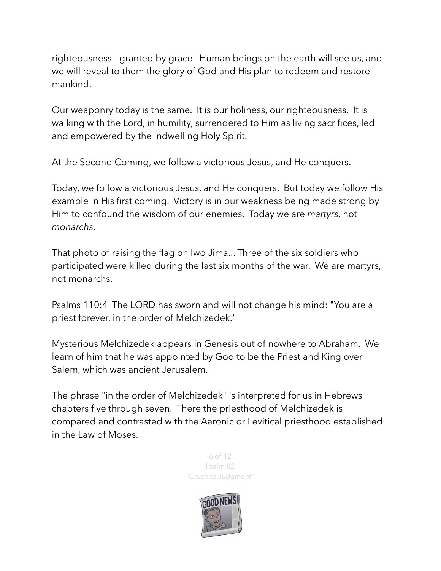righteousness - granted by grace. Human beings on the earth will see us, and we will reveal to them the glory of God and His plan to redeem and restore mankind.

Our weaponry today is the same. It is our holiness, our righteousness. It is walking with the Lord, in humility, surrendered to Him as living sacrifices, led and empowered by the indwelling Holy Spirit.

At the Second Coming, we follow a victorious Jesus, and He conquers.

Today, we follow a victorious Jesus, and He conquers. But today we follow His example in His first coming. Victory is in our weakness being made strong by Him to confound the wisdom of our enemies. Today we are *martyrs*, not *monarchs*.

That photo of raising the flag on Iwo Jima... Three of the six soldiers who participated were killed during the last six months of the war. We are martyrs, not monarchs.

Psalms 110:4 The LORD has sworn and will not change his mind: "You are a priest forever, in the order of Melchizedek."

Mysterious Melchizedek appears in Genesis out of nowhere to Abraham. We learn of him that he was appointed by God to be the Priest and King over Salem, which was ancient Jerusalem.

The phrase "in the order of Melchizedek" is interpreted for us in Hebrews chapters five through seven. There the priesthood of Melchizedek is compared and contrasted with the Aaronic or Levitical priesthood established in the Law of Moses.

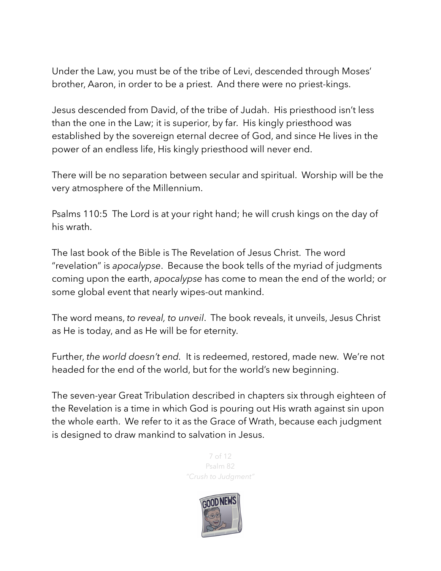Under the Law, you must be of the tribe of Levi, descended through Moses' brother, Aaron, in order to be a priest. And there were no priest-kings.

Jesus descended from David, of the tribe of Judah. His priesthood isn't less than the one in the Law; it is superior, by far. His kingly priesthood was established by the sovereign eternal decree of God, and since He lives in the power of an endless life, His kingly priesthood will never end.

There will be no separation between secular and spiritual. Worship will be the very atmosphere of the Millennium.

Psalms 110:5 The Lord is at your right hand; he will crush kings on the day of his wrath.

The last book of the Bible is The Revelation of Jesus Christ. The word "revelation" is *apocalypse*. Because the book tells of the myriad of judgments coming upon the earth, *apocalypse* has come to mean the end of the world; or some global event that nearly wipes-out mankind.

The word means, *to reveal, to unveil*. The book reveals, it unveils, Jesus Christ as He is today, and as He will be for eternity.

Further, *the world doesn't end.* It is redeemed, restored, made new. We're not headed for the end of the world, but for the world's new beginning.

The seven-year Great Tribulation described in chapters six through eighteen of the Revelation is a time in which God is pouring out His wrath against sin upon the whole earth. We refer to it as the Grace of Wrath, because each judgment is designed to draw mankind to salvation in Jesus.

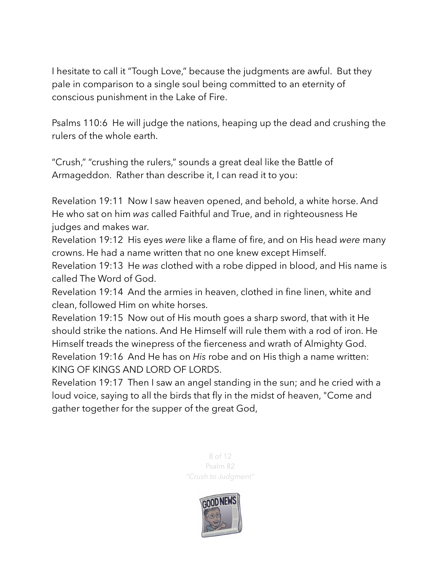I hesitate to call it "Tough Love," because the judgments are awful. But they pale in comparison to a single soul being committed to an eternity of conscious punishment in the Lake of Fire.

Psalms 110:6 He will judge the nations, heaping up the dead and crushing the rulers of the whole earth.

"Crush," "crushing the rulers," sounds a great deal like the Battle of Armageddon. Rather than describe it, I can read it to you:

Revelation 19:11 Now I saw heaven opened, and behold, a white horse. And He who sat on him *was* called Faithful and True, and in righteousness He judges and makes war.

Revelation 19:12 His eyes *were* like a flame of fire, and on His head *were* many crowns. He had a name written that no one knew except Himself.

Revelation 19:13 He *was* clothed with a robe dipped in blood, and His name is called The Word of God.

Revelation 19:14 And the armies in heaven, clothed in fine linen, white and clean, followed Him on white horses.

Revelation 19:15 Now out of His mouth goes a sharp sword, that with it He should strike the nations. And He Himself will rule them with a rod of iron. He Himself treads the winepress of the fierceness and wrath of Almighty God. Revelation 19:16 And He has on *His* robe and on His thigh a name written: KING OF KINGS AND LORD OF LORDS.

Revelation 19:17 Then I saw an angel standing in the sun; and he cried with a loud voice, saying to all the birds that fly in the midst of heaven, "Come and gather together for the supper of the great God,

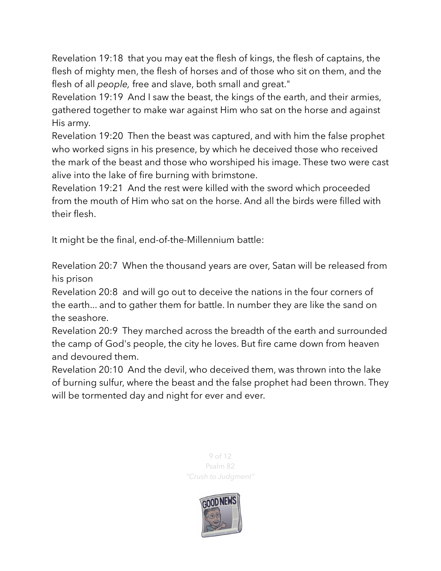Revelation 19:18 that you may eat the flesh of kings, the flesh of captains, the flesh of mighty men, the flesh of horses and of those who sit on them, and the flesh of all *people,* free and slave, both small and great."

Revelation 19:19 And I saw the beast, the kings of the earth, and their armies, gathered together to make war against Him who sat on the horse and against His army.

Revelation 19:20 Then the beast was captured, and with him the false prophet who worked signs in his presence, by which he deceived those who received the mark of the beast and those who worshiped his image. These two were cast alive into the lake of fire burning with brimstone.

Revelation 19:21 And the rest were killed with the sword which proceeded from the mouth of Him who sat on the horse. And all the birds were filled with their flesh.

It might be the final, end-of-the-Millennium battle:

Revelation 20:7 When the thousand years are over, Satan will be released from his prison

Revelation 20:8 and will go out to deceive the nations in the four corners of the earth... and to gather them for battle. In number they are like the sand on the seashore.

Revelation 20:9 They marched across the breadth of the earth and surrounded the camp of God's people, the city he loves. But fire came down from heaven and devoured them.

Revelation 20:10 And the devil, who deceived them, was thrown into the lake of burning sulfur, where the beast and the false prophet had been thrown. They will be tormented day and night for ever and ever.

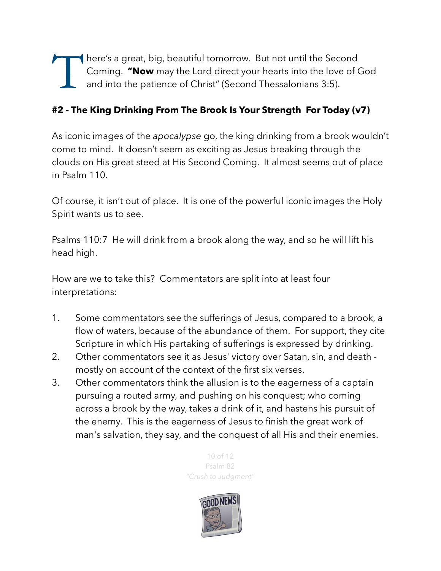There's a great, big, beautiful tomorrow. But not until the Second<br>Coming. "Now may the Lord direct your hearts into the love of C<br>and into the patience of Christ" (Second Thessalonians 3:5). Coming. **"Now** may the Lord direct your hearts into the love of God and into the patience of Christ" (Second Thessalonians 3:5).

## **#2 - The King Drinking From The Brook Is Your Strength For Today (v7)**

As iconic images of the *apocalypse* go, the king drinking from a brook wouldn't come to mind. It doesn't seem as exciting as Jesus breaking through the clouds on His great steed at His Second Coming. It almost seems out of place in Psalm 110.

Of course, it isn't out of place. It is one of the powerful iconic images the Holy Spirit wants us to see.

Psalms 110:7 He will drink from a brook along the way, and so he will lift his head high.

How are we to take this? Commentators are split into at least four interpretations:

- 1. Some commentators see the sufferings of Jesus, compared to a brook, a flow of waters, because of the abundance of them. For support, they cite Scripture in which His partaking of sufferings is expressed by drinking.
- 2. Other commentators see it as Jesus' victory over Satan, sin, and death mostly on account of the context of the first six verses.
- 3. Other commentators think the allusion is to the eagerness of a captain pursuing a routed army, and pushing on his conquest; who coming across a brook by the way, takes a drink of it, and hastens his pursuit of the enemy. This is the eagerness of Jesus to finish the great work of man's salvation, they say, and the conquest of all His and their enemies.

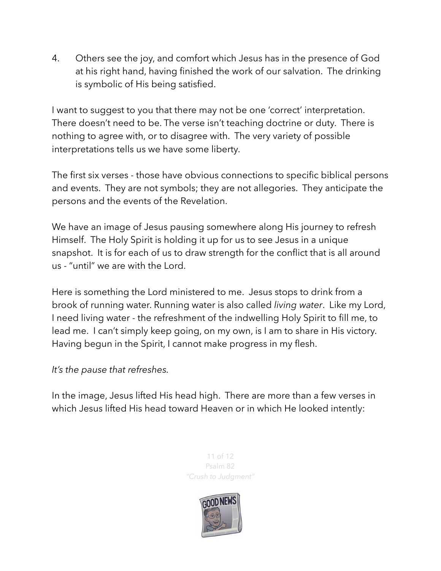4. Others see the joy, and comfort which Jesus has in the presence of God at his right hand, having finished the work of our salvation. The drinking is symbolic of His being satisfied.

I want to suggest to you that there may not be one 'correct' interpretation. There doesn't need to be. The verse isn't teaching doctrine or duty. There is nothing to agree with, or to disagree with. The very variety of possible interpretations tells us we have some liberty.

The first six verses - those have obvious connections to specific biblical persons and events. They are not symbols; they are not allegories. They anticipate the persons and the events of the Revelation.

We have an image of Jesus pausing somewhere along His journey to refresh Himself. The Holy Spirit is holding it up for us to see Jesus in a unique snapshot. It is for each of us to draw strength for the conflict that is all around us - "until" we are with the Lord.

Here is something the Lord ministered to me. Jesus stops to drink from a brook of running water. Running water is also called *living water*. Like my Lord, I need living water - the refreshment of the indwelling Holy Spirit to fill me, to lead me. I can't simply keep going, on my own, is I am to share in His victory. Having begun in the Spirit, I cannot make progress in my flesh.

*It's the pause that refreshes.* 

In the image, Jesus lifted His head high. There are more than a few verses in which Jesus lifted His head toward Heaven or in which He looked intently: